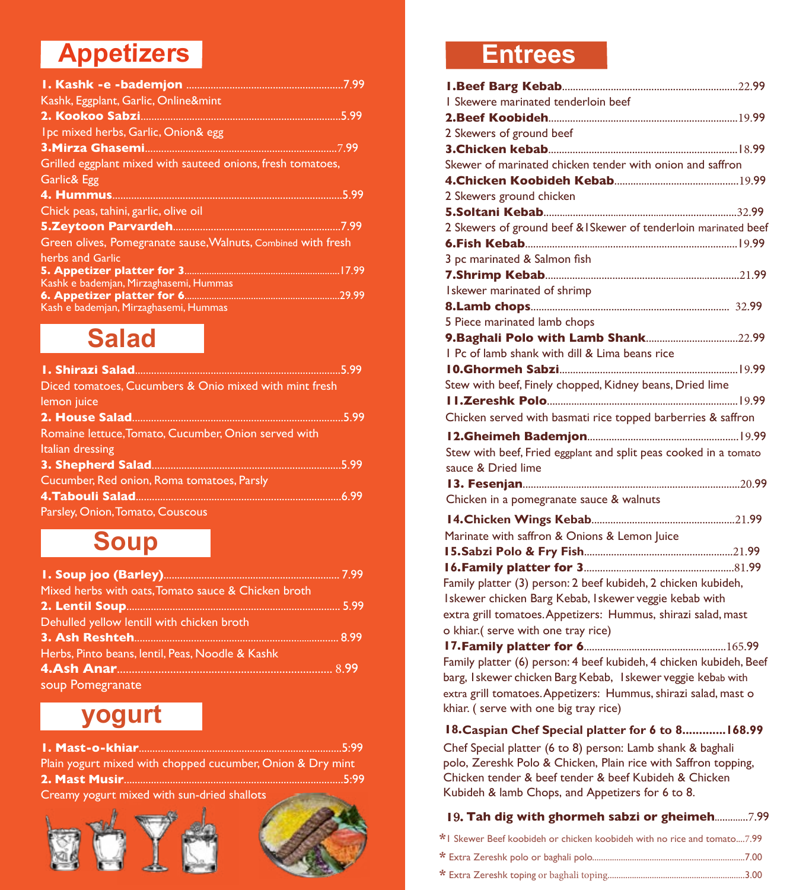# **Appetizers**

| Kashk, Eggplant, Garlic, Online&mint                          |
|---------------------------------------------------------------|
|                                                               |
| Ipc mixed herbs, Garlic, Onion& egg                           |
|                                                               |
| Grilled eggplant mixed with sauteed onions, fresh tomatoes,   |
| Garlic& Egg                                                   |
|                                                               |
| Chick peas, tahini, garlic, olive oil                         |
|                                                               |
| Green olives, Pomegranate sause, Walnuts, Combined with fresh |
| herbs and Garlic                                              |
|                                                               |
| Kashk e bademjan, Mirzaghasemi, Hummas                        |
| Kash e bademjan, Mirzaghasemi, Hummas                         |
|                                                               |

### **Salad**

| Diced tomatoes, Cucumbers & Onio mixed with mint fresh |  |
|--------------------------------------------------------|--|
| lemon juice                                            |  |
|                                                        |  |
| Romaine lettuce, Tomato, Cucumber, Onion served with   |  |
| Italian dressing                                       |  |
|                                                        |  |
| Cucumber, Red onion, Roma tomatoes, Parsly             |  |
|                                                        |  |
| Parsley, Onion, Tomato, Couscous                       |  |

### **Soup**

| Mixed herbs with oats, Tomato sauce & Chicken broth |  |
|-----------------------------------------------------|--|
|                                                     |  |
| Dehulled yellow lentill with chicken broth          |  |
|                                                     |  |
| Herbs, Pinto beans, lentil, Peas, Noodle & Kashk    |  |
|                                                     |  |
| soup Pomegranate                                    |  |

## **yogurt**

**1. Mast-o-khiar**...........................................................................5:99

Plain yogurt mixed with chopped cucumber, Onion & Dry mint **2. Mast Musir**.................................................................................5:99

Creamy yogurt mixed with sun-dried shallots





### **Entrees**

| I Skewere marinated tenderloin beef                                |  |
|--------------------------------------------------------------------|--|
|                                                                    |  |
| 2 Skewers of ground beef                                           |  |
|                                                                    |  |
| Skewer of marinated chicken tender with onion and saffron          |  |
|                                                                    |  |
| 2 Skewers ground chicken                                           |  |
|                                                                    |  |
| 2 Skewers of ground beef & I Skewer of tenderloin marinated beef   |  |
|                                                                    |  |
| 3 pc marinated & Salmon fish                                       |  |
|                                                                    |  |
| Iskewer marinated of shrimp                                        |  |
|                                                                    |  |
| 5 Piece marinated lamb chops                                       |  |
|                                                                    |  |
| I Pc of lamb shank with dill & Lima beans rice                     |  |
|                                                                    |  |
| Stew with beef, Finely chopped, Kidney beans, Dried lime           |  |
|                                                                    |  |
| Chicken served with basmati rice topped barberries & saffron       |  |
|                                                                    |  |
| Stew with beef, Fried eggplant and split peas cooked in a tomato   |  |
| sauce & Dried lime                                                 |  |
|                                                                    |  |
| Chicken in a pomegranate sauce & walnuts                           |  |
|                                                                    |  |
| Marinate with saffron & Onions & Lemon Juice                       |  |
|                                                                    |  |
|                                                                    |  |
| Family platter (3) person: 2 beef kubideh, 2 chicken kubideh,      |  |
| Iskewer chicken Barg Kebab, Iskewer veggie kebab with              |  |
| extra grill tomatoes. Appetizers: Hummus, shirazi salad, mast      |  |
| o khiar.(serve with one tray rice)                                 |  |
|                                                                    |  |
| Family platter (6) person: 4 beef kubideh, 4 chicken kubideh, Beef |  |
| barg, Iskewer chicken Barg Kebab, Iskewer veggie kebab with        |  |
| extra grill tomatoes. Appetizers: Hummus, shirazi salad, mast o    |  |
| khiar. (serve with one big tray rice)                              |  |
|                                                                    |  |

### **18.Caspian Chef Special platter for 6 to 8.............168.99**

Chef Special platter (6 to 8) person: Lamb shank & baghali polo, Zereshk Polo & Chicken, Plain rice with Saffron topping, Chicken tender & beef tender & beef Kubideh & Chicken Kubideh & lamb Chops, and Appetizers for 6 to 8.

### **1**9**. Tah dig with ghormeh sabzi or gheimeh**.............7.99

- **\*** 1 Skewer Beef koobideh or chicken koobideh with no rice and tomato....7.99
- **\*** Extra Zereshk polo or baghali polo.....................................................................7.00
- **\*** Extra Zereshk toping or baghali toping..............................................................3.00